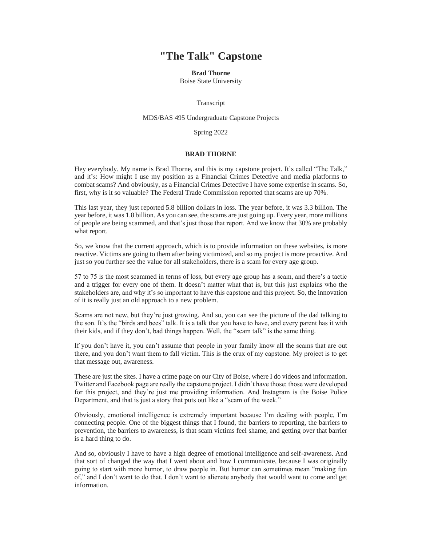## **"The Talk" Capstone**

## **Brad Thorne**

Boise State University

Transcript

## MDS/BAS 495 Undergraduate Capstone Projects

Spring 2022

## **BRAD THORNE**

Hey everybody. My name is Brad Thorne, and this is my capstone project. It's called "The Talk," and it's: How might I use my position as a Financial Crimes Detective and media platforms to combat scams? And obviously, as a Financial Crimes Detective I have some expertise in scams. So, first, why is it so valuable? The Federal Trade Commission reported that scams are up 70%.

This last year, they just reported 5.8 billion dollars in loss. The year before, it was 3.3 billion. The year before, it was 1.8 billion. As you can see, the scams are just going up. Every year, more millions of people are being scammed, and that's just those that report. And we know that 30% are probably what report.

So, we know that the current approach, which is to provide information on these websites, is more reactive. Victims are going to them after being victimized, and so my project is more proactive. And just so you further see the value for all stakeholders, there is a scam for every age group.

57 to 75 is the most scammed in terms of loss, but every age group has a scam, and there's a tactic and a trigger for every one of them. It doesn't matter what that is, but this just explains who the stakeholders are, and why it's so important to have this capstone and this project. So, the innovation of it is really just an old approach to a new problem.

Scams are not new, but they're just growing. And so, you can see the picture of the dad talking to the son. It's the "birds and bees" talk. It is a talk that you have to have, and every parent has it with their kids, and if they don't, bad things happen. Well, the "scam talk" is the same thing.

If you don't have it, you can't assume that people in your family know all the scams that are out there, and you don't want them to fall victim. This is the crux of my capstone. My project is to get that message out, awareness.

These are just the sites. I have a crime page on our City of Boise, where I do videos and information. Twitter and Facebook page are really the capstone project. I didn't have those; those were developed for this project, and they're just me providing information. And Instagram is the Boise Police Department, and that is just a story that puts out like a "scam of the week."

Obviously, emotional intelligence is extremely important because I'm dealing with people, I'm connecting people. One of the biggest things that I found, the barriers to reporting, the barriers to prevention, the barriers to awareness, is that scam victims feel shame, and getting over that barrier is a hard thing to do.

And so, obviously I have to have a high degree of emotional intelligence and self-awareness. And that sort of changed the way that I went about and how I communicate, because I was originally going to start with more humor, to draw people in. But humor can sometimes mean "making fun of," and I don't want to do that. I don't want to alienate anybody that would want to come and get information.